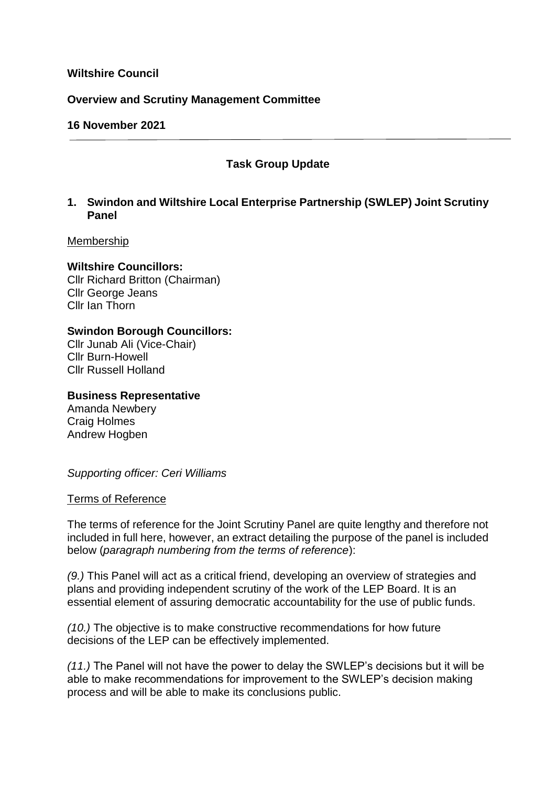### **Wiltshire Council**

### **Overview and Scrutiny Management Committee**

### **16 November 2021**

## **Task Group Update**

### **1. Swindon and Wiltshire Local Enterprise Partnership (SWLEP) Joint Scrutiny Panel**

#### Membership

### **Wiltshire Councillors:**

Cllr Richard Britton (Chairman) Cllr George Jeans Cllr Ian Thorn

## **Swindon Borough Councillors:**

Cllr Junab Ali (Vice-Chair) Cllr Burn-Howell Cllr Russell Holland

#### **Business Representative**

Amanda Newbery Craig Holmes Andrew Hogben

*Supporting officer: Ceri Williams*

#### Terms of Reference

The terms of reference for the Joint Scrutiny Panel are quite lengthy and therefore not included in full here, however, an extract detailing the purpose of the panel is included below (*paragraph numbering from the terms of reference*):

*(9.)* This Panel will act as a critical friend, developing an overview of strategies and plans and providing independent scrutiny of the work of the LEP Board. It is an essential element of assuring democratic accountability for the use of public funds.

*(10.)* The objective is to make constructive recommendations for how future decisions of the LEP can be effectively implemented.

*(11.)* The Panel will not have the power to delay the SWLEP's decisions but it will be able to make recommendations for improvement to the SWLEP's decision making process and will be able to make its conclusions public.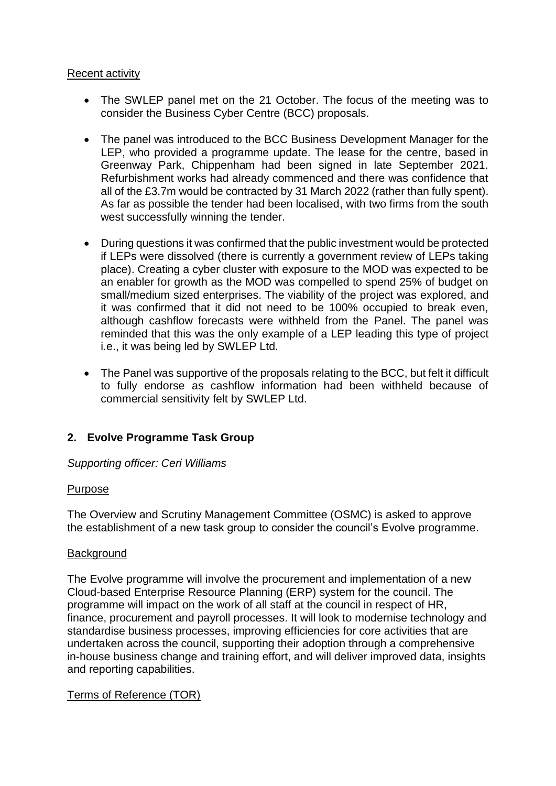## Recent activity

- The SWLEP panel met on the 21 October. The focus of the meeting was to consider the Business Cyber Centre (BCC) proposals.
- The panel was introduced to the BCC Business Development Manager for the LEP, who provided a programme update. The lease for the centre, based in Greenway Park, Chippenham had been signed in late September 2021. Refurbishment works had already commenced and there was confidence that all of the £3.7m would be contracted by 31 March 2022 (rather than fully spent). As far as possible the tender had been localised, with two firms from the south west successfully winning the tender.
- During questions it was confirmed that the public investment would be protected if LEPs were dissolved (there is currently a government review of LEPs taking place). Creating a cyber cluster with exposure to the MOD was expected to be an enabler for growth as the MOD was compelled to spend 25% of budget on small/medium sized enterprises. The viability of the project was explored, and it was confirmed that it did not need to be 100% occupied to break even, although cashflow forecasts were withheld from the Panel. The panel was reminded that this was the only example of a LEP leading this type of project i.e., it was being led by SWLEP Ltd.
- The Panel was supportive of the proposals relating to the BCC, but felt it difficult to fully endorse as cashflow information had been withheld because of commercial sensitivity felt by SWLEP Ltd.

# **2. Evolve Programme Task Group**

*Supporting officer: Ceri Williams*

# Purpose

The Overview and Scrutiny Management Committee (OSMC) is asked to approve the establishment of a new task group to consider the council's Evolve programme.

### **Background**

The Evolve programme will involve the procurement and implementation of a new Cloud-based Enterprise Resource Planning (ERP) system for the council. The programme will impact on the work of all staff at the council in respect of HR, finance, procurement and payroll processes. It will look to modernise technology and standardise business processes, improving efficiencies for core activities that are undertaken across the council, supporting their adoption through a comprehensive in-house business change and training effort, and will deliver improved data, insights and reporting capabilities.

# Terms of Reference (TOR)